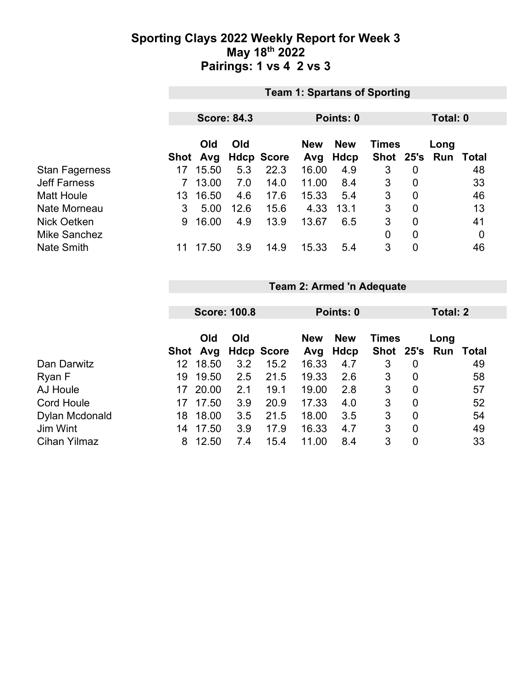### **Sporting Clays 2022 Weekly Report for Week 3 May 18th 2022 Pairings: 1 vs 4 2 vs 3**

|                       | <b>Team 1: Spartans of Sporting</b> |       |                    |                   |                                          |             |           |                |      |              |  |
|-----------------------|-------------------------------------|-------|--------------------|-------------------|------------------------------------------|-------------|-----------|----------------|------|--------------|--|
|                       |                                     |       |                    |                   |                                          |             |           |                |      |              |  |
|                       |                                     |       | <b>Score: 84.3</b> |                   |                                          | Points: 0   |           | Total: 0       |      |              |  |
|                       | Old<br>Old                          |       |                    |                   | <b>New</b><br><b>New</b><br><b>Times</b> |             |           |                | Long |              |  |
|                       | Shot                                | Avg   |                    | <b>Hdcp Score</b> | Avg                                      | <b>Hdcp</b> | Shot 25's |                | Run  | <b>Total</b> |  |
| <b>Stan Fagerness</b> | 17                                  | 15.50 | 5.3                | 22.3              | 16.00                                    | 4.9         | 3         | 0              |      | 48           |  |
| <b>Jeff Farness</b>   |                                     | 13.00 | 7.0                | 14.0              | 11.00                                    | 8.4         | 3         | $\overline{0}$ |      | 33           |  |
| <b>Matt Houle</b>     | 13                                  | 16.50 | 4.6                | 17.6              | 15.33                                    | 5.4         | 3         | $\overline{0}$ |      | 46           |  |
| Nate Morneau          | 3                                   | 5.00  | 12.6               | 15.6              | 4.33                                     | 13.1        | 3         | $\overline{0}$ |      | 13           |  |
| Nick Oetken           | 9                                   | 16.00 | 4.9                | 13.9              | 13.67                                    | 6.5         | 3         | $\overline{0}$ |      | 41           |  |
| <b>Mike Sanchez</b>   |                                     |       |                    |                   |                                          |             | 0         | $\overline{0}$ |      | 0            |  |
| <b>Nate Smith</b>     | 11                                  | 17.50 | 3.9                | 14.9              | 15.33                                    | 5.4         | 3         | $\overline{0}$ |      | 46           |  |

#### **Team 2: Armed 'n Adequate**

|                     |     | <b>Score: 100.8</b> |     |                     | Points: 0         |                    |              | <b>Total: 2</b> |                             |    |  |
|---------------------|-----|---------------------|-----|---------------------|-------------------|--------------------|--------------|-----------------|-----------------------------|----|--|
|                     |     | Old                 | Old | Shot Avg Hdcp Score | <b>New</b><br>Avg | <b>New</b><br>Hdcp | <b>Times</b> |                 | Long<br>Shot 25's Run Total |    |  |
| Dan Darwitz         | 12  | 18.50               | 3.2 | 15.2                | 16.33             | 4.7                | 3            | 0               |                             | 49 |  |
| Ryan F              | 19. | 19.50               | 2.5 | 21.5                | 19.33             | 2.6                | 3            | $\overline{0}$  |                             | 58 |  |
| AJ Houle            | 17  | 20.00               | 2.1 | 19.1                | 19.00             | 2.8                | 3            | $\overline{0}$  |                             | 57 |  |
| <b>Cord Houle</b>   | 17  | 17.50               | 3.9 | 20.9                | 17.33             | 4.0                | 3            | $\overline{0}$  |                             | 52 |  |
| Dylan Mcdonald      | 18  | 18.00               | 3.5 | 21.5                | 18.00             | 3.5                | 3            | $\overline{0}$  |                             | 54 |  |
| Jim Wint            | 14  | 17.50               | 3.9 | 17.9                | 16.33             | 4.7                | 3            | $\overline{0}$  |                             | 49 |  |
| <b>Cihan Yilmaz</b> | 8   | 12.50               | 7.4 | 15.4                | 11.00             | 8.4                | 3            | 0               |                             | 33 |  |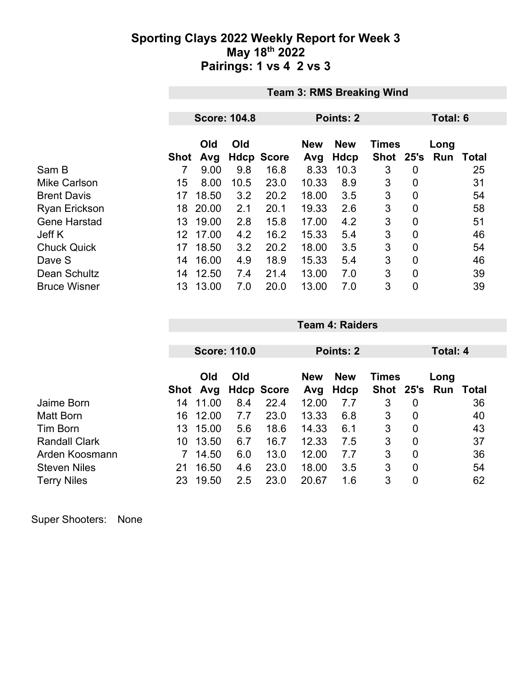### **Sporting Clays 2022 Weekly Report for Week 3 May 18th 2022 Pairings: 1 vs 4 2 vs 3**

|                      | <b>Team 3: RMS Breaking Wind</b> |                     |      |                   |       |                                          |          |                |     |       |  |  |
|----------------------|----------------------------------|---------------------|------|-------------------|-------|------------------------------------------|----------|----------------|-----|-------|--|--|
|                      |                                  | <b>Score: 104.8</b> |      |                   |       | Points: 2                                | Total: 6 |                |     |       |  |  |
|                      |                                  | Old<br>Old          |      |                   |       | <b>New</b><br><b>Times</b><br><b>New</b> |          |                |     | Long  |  |  |
|                      | Shot                             | Avg                 |      | <b>Hdcp Score</b> | Avg   | Hdcp                                     | Shot     | 25's           | Run | Total |  |  |
| Sam B                | 7                                | 9.00                | 9.8  | 16.8              | 8.33  | 10.3                                     | 3        | 0              |     | 25    |  |  |
| <b>Mike Carlson</b>  | 15                               | 8.00                | 10.5 | 23.0              | 10.33 | 8.9                                      | 3        | $\overline{0}$ |     | 31    |  |  |
| <b>Brent Davis</b>   | 17                               | 18.50               | 3.2  | 20.2              | 18.00 | 3.5                                      | 3        | 0              |     | 54    |  |  |
| <b>Ryan Erickson</b> | 18                               | 20.00               | 2.1  | 20.1              | 19.33 | 2.6                                      | 3        | 0              |     | 58    |  |  |
| <b>Gene Harstad</b>  | 13                               | 19.00               | 2.8  | 15.8              | 17.00 | 4.2                                      | 3        | $\overline{0}$ |     | 51    |  |  |
| Jeff K               | 12                               | 17.00               | 4.2  | 16.2              | 15.33 | 5.4                                      | 3        | 0              |     | 46    |  |  |
| <b>Chuck Quick</b>   | 17                               | 18.50               | 3.2  | 20.2              | 18.00 | 3.5                                      | 3        | $\overline{0}$ |     | 54    |  |  |
| Dave S               | 14                               | 16.00               | 4.9  | 18.9              | 15.33 | 5.4                                      | 3        | $\overline{0}$ |     | 46    |  |  |
| Dean Schultz         | 14                               | 12.50               | 7.4  | 21.4              | 13.00 | 7.0                                      | 3        | $\overline{0}$ |     | 39    |  |  |
| <b>Bruce Wisner</b>  | 13                               | 13.00               | 7.0  | 20.0              | 13.00 | 7.0                                      | 3        | $\overline{0}$ |     | 39    |  |  |

|                      |    |            | <b>Score: 110.0</b> |                   | Points: 2 |            |              |                | Total: 4 |       |  |
|----------------------|----|------------|---------------------|-------------------|-----------|------------|--------------|----------------|----------|-------|--|
|                      |    |            |                     |                   |           |            |              |                |          |       |  |
|                      |    | Old<br>Old |                     |                   |           | <b>New</b> | <b>Times</b> |                | Long     |       |  |
|                      |    | Shot Avg   |                     | <b>Hdcp Score</b> | Avg       | Hdcp       | Shot 25's    |                | Run      | Total |  |
| Jaime Born           | 14 | 11.00      | 8.4                 | 22.4              | 12.00     | 7.7        | 3            | 0              |          | 36    |  |
| Matt Born            | 16 | 12.00      | 7.7                 | 23.0              | 13.33     | 6.8        | 3            | 0              |          | 40    |  |
| Tim Born             | 13 | 15.00      | 5.6                 | 18.6              | 14.33     | 6.1        | 3            | 0              |          | 43    |  |
| <b>Randall Clark</b> | 10 | 13.50      | 6.7                 | 16.7              | 12.33     | 7.5        | 3            | $\overline{0}$ |          | 37    |  |
| Arden Koosmann       |    | 14.50      | 6.0                 | 13.0              | 12.00     | 7.7        | 3            | $\overline{0}$ |          | 36    |  |
| <b>Steven Niles</b>  | 21 | 16.50      | 4.6                 | 23.0              | 18.00     | 3.5        | 3            | $\overline{0}$ |          | 54    |  |
| <b>Terry Niles</b>   | 23 | 19.50      | 2.5                 | 23.0              | 20.67     | 1.6        | 3            | 0              |          | 62    |  |

**Team 4: Raiders**

Super Shooters: None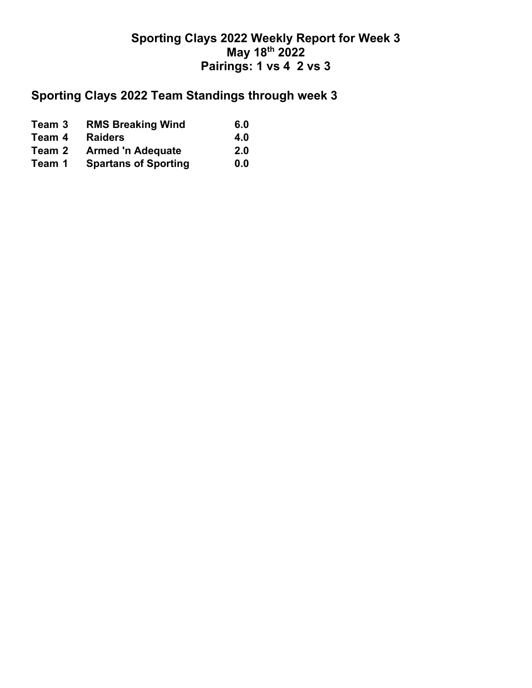## **Sporting Clays 2022 Weekly Report for Week 3 May 18th 2022 Pairings: 1 vs 4 2 vs 3**

# **Sporting Clays 2022 Team Standings through week 3**

| Team 3 | <b>RMS Breaking Wind</b>    | 6.0 |
|--------|-----------------------------|-----|
| Team 4 | <b>Raiders</b>              | 4.0 |
| Team 2 | <b>Armed 'n Adequate</b>    | 2.0 |
| Team 1 | <b>Spartans of Sporting</b> | 0.0 |